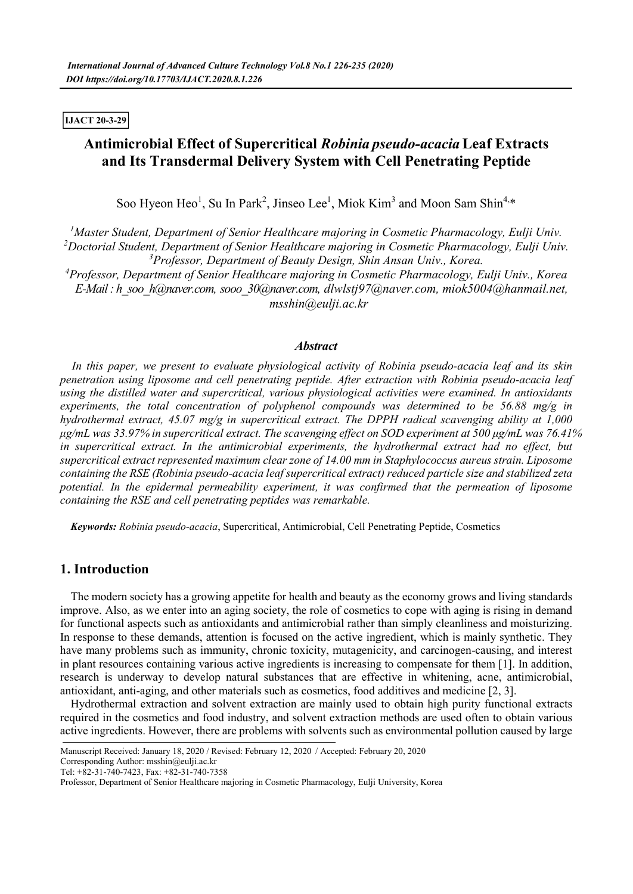**IJACT 20-3-29**

# **Antimicrobial Effect of Supercritical** *Robinia pseudo-acacia* **Leaf Extracts and Its Transdermal Delivery System with Cell Penetrating Peptide**

Soo Hyeon Heo<sup>1</sup>, Su In Park<sup>2</sup>, Jinseo Lee<sup>1</sup>, Miok Kim<sup>3</sup> and Moon Sam Shin<sup>4,\*</sup>

*<sup>1</sup>Master Student, Department of Senior Healthcare majoring in Cosmetic Pharmacology, Eulji Univ. <sup>2</sup>Doctorial Student, Department of Senior Healthcare majoring in Cosmetic Pharmacology, Eulji Univ. <sup>3</sup>Professor, Department of Beauty Design, Shin Ansan Univ., Korea.*

*<sup>4</sup>Professor, Department of Senior Healthcare majoring in Cosmetic Pharmacology, Eulji Univ., Korea E-Mail : h\_soo\_h@naver.com, sooo\_30@naver.com, dlwlstj97@naver.com, miok5004@hanmail.net, msshin@eulji.ac.kr*

#### *Abstract*

*In this paper, we present to evaluate physiological activity of Robinia pseudo-acacia leaf and its skin*  penetration using liposome and cell penetrating peptide. After extraction with Robinia pseudo-acacia leaf<br>using the distilled water and supercritical, various physiological activities were examined. In antioxidants *experiments, the total concentration of polyphenol compounds was determined to be 56.88 mg/g in hydrothermal extract, 45.07 mg/g in supercritical extract. The DPPH radical scavenging ability at 1,000 μg/mL was 33.97% in supercritical extract. The scavenging effect on SOD experiment at 500 μg/mL was 76.41% in supercritical extract. In the antimicrobial experiments, the hydrothermal extract had no effect, but supercritical extract represented maximum clear zone of 14.00 mm in Staphylococcus aureus strain. Liposome containing the RSE (Robinia pseudo-acacia leaf supercritical extract) reduced particle size and stabilized zeta potential. In the epidermal permeability experiment, it was confirmed that the permeation of liposome containing the RSE and cell penetrating peptides was remarkable.*

*Keywords: Robinia pseudo-acacia*, Supercritical, Antimicrobial, Cell Penetrating Peptide, Cosmetics

# **1. Introduction**

The modern society has a growing appetite for health and beauty as the economy grows and living standards improve. Also, as we enter into an aging society, the role of cosmetics to cope with aging is rising in demand for functional aspects such as antioxidants and antimicrobial rather than simply cleanliness and moisturizing. In response to these demands, attention is focused on the active ingredient, which is mainly synthetic. They have many problems such as immunity, chronic toxicity, mutagenicity, and carcinogen-causing, and interest in plant resources containing various active ingredients is increasing to compensate for them [1]. In addition, research is underway to develop natural substances that are effective in whitening, acne, antimicrobial, antioxidant, anti-aging, and other materials such as cosmetics, food additives and medicine [2, 3]. Hydrothermal extraction and solvent extraction are mainly used to obtain high purity functional extracts

required in the cosmetics and food industry, and solvent extraction methods are used often to obtain various active ingredients. However, there are problems with solvents such as environmental pollution caused by large

Corresponding Author: msshin@eulji.ac.kr

Manuscript Received: January 18, 2020 / Revised: February 12, 2020 / Accepted: February 20, 2020

Tel: +82-31-740-7423, Fax: +82-31-740-7358

Professor, Department of Senior Healthcare majoring in Cosmetic Pharmacology, Eulji University, Korea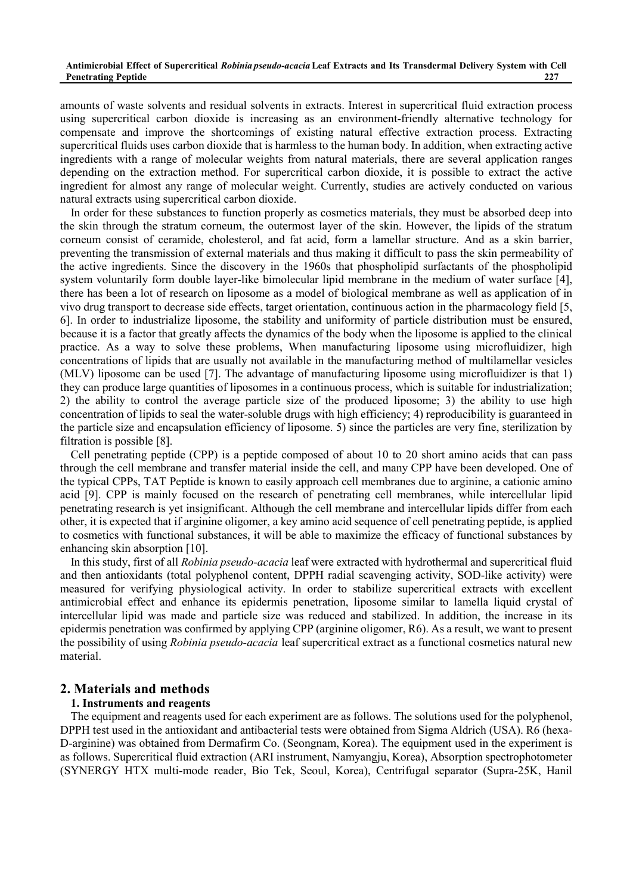amounts of waste solvents and residual solvents in extracts. Interest in supercritical fluid extraction process using supercritical carbon dioxide is increasing as an environment-friendly alternative technology for compensate and improve the shortcomings of existing natural effective extraction process. Extracting supercritical fluids uses carbon dioxide that is harmless to the human body. In addition, when extracting active ingredients with a range of molecular weights from natural materials, there are several application ranges depending on the extraction method. For supercritical carbon dioxide, it is possible to extract the active ingredient for almost any range of molecular weight. Currently, studies are actively conducted on various natural extracts using supercritical carbon dioxide.

In order for these substances to function properly as cosmetics materials, they must be absorbed deep into the skin through the stratum corneum, the outermost layer of the skin. However, the lipids of the stratum corneum consist of ceramide, cholesterol, and fat acid, form a lamellar structure. And as a skin barrier, preventing the transmission of external materials and thus making it difficult to pass the skin permeability of the active ingredients. Since the discovery in the 1960s that phospholipid surfactants of the phospholipid system voluntarily form double layer-like bimolecular lipid membrane in the medium of water surface [4], there has been a lot of research on liposome as a model of biological membrane as well as application of in vivo drug transport to decrease side effects, target orientation, continuous action in the pharmacology field [5, 6]. In order to industrialize liposome, the stability and uniformity of particle distribution must be ensured, because it is a factor that greatly affects the dynamics of the body when the liposome is applied to the clinical practice. As a way to solve these problems, When manufacturing liposome using microfluidizer, high concentrations of lipids that are usually not available in the manufacturing method of multilamellar vesicles (MLV) liposome can be used [7]. The advantage of manufacturing liposome using microfluidizer is that 1) they can produce large quantities of liposomes in a continuous process, which is suitable for industrialization; 2) the ability to control the average particle size of the produced liposome; 3) the ability to use high concentration of lipids to seal the water-soluble drugs with high efficiency; 4) reproducibility is guaranteed in the particle size and encapsulation efficiency of liposome. 5) since the particles are very fine, sterilization by filtration is possible [8].

Cell penetrating peptide (CPP) is a peptide composed of about 10 to 20 short amino acids that can pass through the cell membrane and transfer material inside the cell, and many CPP have been developed. One of the typical CPPs, TAT Peptide is known to easily approach cell membranes due to arginine, a cationic amino acid [9]. CPP is mainly focused on the research of penetrating cell membranes, while intercellular lipid penetrating research is yet insignificant. Although the cell membrane and intercellular lipids differ from each other, it is expected that if arginine oligomer, a key amino acid sequence of cell penetrating peptide, is applied to cosmetics with functional substances, it will be able to maximize the efficacy of functional substances by enhancing skin absorption [10].

In this study, first of all *Robinia pseudo-acacia* leaf were extracted with hydrothermal and supercritical fluid and then antioxidants (total polyphenol content, DPPH radial scavenging activity, SOD-like activity) were measured for verifying physiological activity. In order to stabilize supercritical extracts with excellent antimicrobial effect and enhance its epidermis penetration, liposome similar to lamella liquid crystal of intercellular lipid was made and particle size was reduced and stabilized. In addition, the increase in its epidermis penetration was confirmed by applying CPP (arginine oligomer, R6). As a result, we want to present the possibility of using *Robinia pseudo-acacia* leaf supercritical extract as a functional cosmetics natural new material.

### **2. Materials and methods**

#### **1. Instruments and reagents**

The equipment and reagents used for each experiment are as follows. The solutions used for the polyphenol, DPPH test used in the antioxidant and antibacterial tests were obtained from Sigma Aldrich (USA). R6 (hexa- D-arginine) was obtained from Dermafirm Co. (Seongnam, Korea). The equipment used in the experiment is as follows. Supercritical fluid extraction (ARI instrument, Namyangju, Korea), Absorption spectrophotometer (SYNERGY HTX multi-mode reader, Bio Tek, Seoul, Korea), Centrifugal separator (Supra-25K, Hanil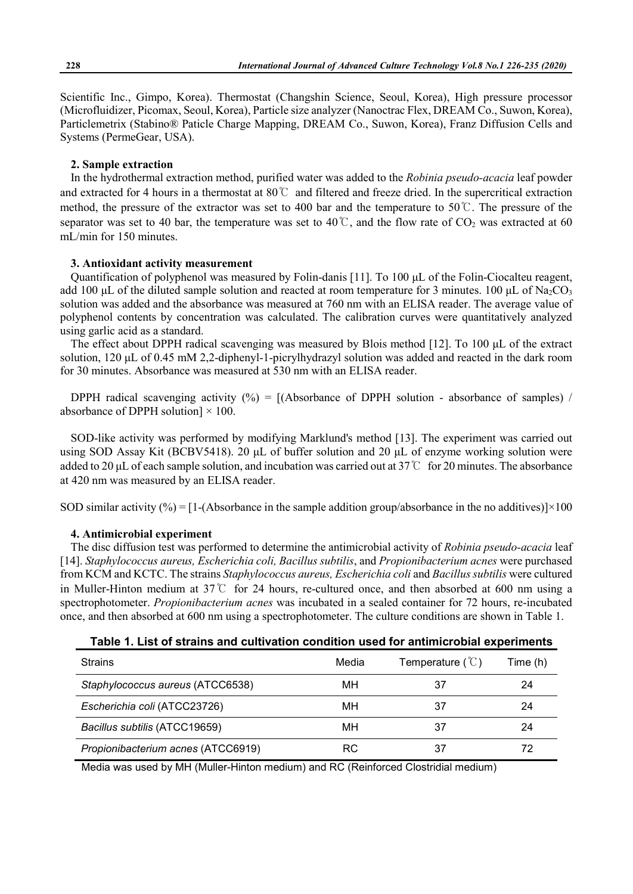Scientific Inc., Gimpo, Korea). Thermostat (Changshin Science, Seoul, Korea), High pressure processor (Microfluidizer, Picomax, Seoul, Korea), Particle size analyzer (Nanoctrac Flex, DREAM Co., Suwon, Korea), Particlemetrix (Stabino® Paticle Charge Mapping, DREAM Co., Suwon, Korea), Franz Diffusion Cells and Systems (PermeGear, USA).

#### **2. Sample extraction**

In the hydrothermal extraction method, purified water was added to the *Robinia pseudo-acacia* leaf powder and extracted for 4 hours in a thermostat at 80℃ and filtered and freeze dried. In the supercritical extraction method, the pressure of the extractor was set to 400 bar and the temperature to 50℃. The pressure of the separator was set to 40 bar, the temperature was set to 40 °C, and the flow rate of  $CO_2$  was extracted at 60 mL/min for 150 minutes.

#### **3. Antioxidant activity measurement**

Quantification of polyphenol was measured by Folin-danis [11]. To 100 μL of the Folin-Ciocalteu reagent, add 100 μL of the diluted sample solution and reacted at room temperature for 3 minutes. 100 μL of Na<sub>2</sub>CO<sub>3</sub> solution was added and the absorbance was measured at 760 nm with an ELISA reader. The average value of polyphenol contents by concentration was calculated. The calibration curves were quantitatively analyzed using garlic acid as a standard.

The effect about DPPH radical scavenging was measured by Blois method [12]. To 100 μL of the extract solution, 120 μL of 0.45 mM 2,2-diphenyl-1-picrylhydrazyl solution was added and reacted in the dark room for 30 minutes. Absorbance was measured at 530 nm with an ELISA reader.

DPPH radical scavenging activity  $(\%) = [(\text{Absorbane of DPPH solution - absorbance of samples})$ absorbance of DPPH solution] × 100.<br>SOD-like activity was performed by modifying Marklund's method [13]. The experiment was carried out

using SOD Assay Kit (BCBV5418). 20 μL of buffer solution and 20 μL of enzyme working solution were added to 20 μL of each sample solution, and incubation was carried out at 37℃ for 20 minutes. The absorbance at 420 nm was measured by an ELISA reader.

SOD similar activity  $\left(\frac{\%}{\%}\right) = [1-(\text{Absolute})]$  in the sample addition group/absorbance in the no additives) $]\times 100$ 

#### **4. Antimicrobial experiment**

The disc diffusion test was performed to determine the antimicrobial activity of *Robinia pseudo-acacia* leaf [14]. *Staphylococcus aureus, Escherichia coli, Bacillus subtilis*, and *Propionibacterium acnes*were purchased from KCM and KCTC. The strains *Staphylococcus aureus, Escherichia coli* and *Bacillus subtilis* were cultured in Muller-Hinton medium at 37℃ for 24 hours, re-cultured once, and then absorbed at 600 nm using a spectrophotometer. *Propionibacterium acnes* was incubated in a sealed container for 72 hours, re-incubated once, and then absorbed at 600 nm using a spectrophotometer. The culture conditions are shown in Table 1.

| Table 1. List of strains and cultivation condition used for antimicrobial experiments |
|---------------------------------------------------------------------------------------|
|---------------------------------------------------------------------------------------|

| <b>Strains</b>                     | Media | Temperature $(\mathcal{C})$ | Time (h) |
|------------------------------------|-------|-----------------------------|----------|
| Staphylococcus aureus (ATCC6538)   | мн    | 37                          | 24       |
| Escherichia coli (ATCC23726)       | мн    | 37                          | 24       |
| Bacillus subtilis (ATCC19659)      | мн    | 37                          | 24       |
| Propionibacterium acnes (ATCC6919) | RC    | 37                          |          |

Media was used by MH (Muller-Hinton medium) and RC (Reinforced Clostridial medium)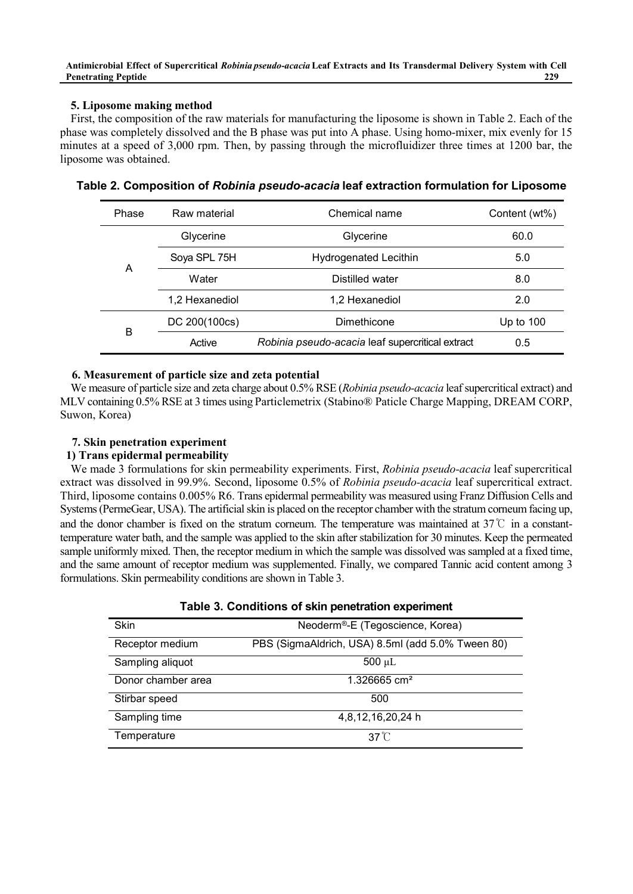# **5. Liposome making method**

First, the composition of the raw materials for manufacturing the liposome is shown in Table 2. Each of the phase was completely dissolved and the B phase was put into A phase. Using homo-mixer, mix evenly for 15 minutes at a speed of 3,000 rpm. Then, by passing through the microfluidizer three times at 1200 bar, the liposome was obtained.

| Phase | Raw material   | Chemical name                                    | Content (wt%) |
|-------|----------------|--------------------------------------------------|---------------|
|       | Glycerine      | Glycerine                                        | 60.0          |
|       | Soya SPL 75H   | <b>Hydrogenated Lecithin</b>                     | 5.0           |
| A     | Water          | Distilled water                                  | 8.0           |
|       | 1,2 Hexanediol | 1,2 Hexanediol                                   | 2.0           |
|       | DC 200(100cs)  | Dimethicone                                      | Up to $100$   |
| B     | Active         | Robinia pseudo-acacia leaf supercritical extract | 0.5           |

**Table 2. Composition of** *Robinia pseudo-acacia* **leaf extraction formulation for Liposome**

### **6. Measurement of particle size and zeta potential**

We measure of particle size and zeta charge about 0.5% RSE (*Robinia pseudo-acacia* leaf supercritical extract) and MLV containing 0.5% RSE at 3 times using Particlemetrix (Stabino® Paticle Charge Mapping, DREAM CORP, Suwon, Korea)

#### **7. Skin penetration experiment**

#### **1) Trans epidermal permeability**

We made 3 formulations for skin permeability experiments. First, *Robinia pseudo-acacia* leaf supercritical extract was dissolved in 99.9%. Second, liposome 0.5% of *Robinia pseudo-acacia* leaf supercritical extract. Third, liposome contains 0.005% R6. Trans epidermal permeability was measured using Franz Diffusion Cells and Systems (PermeGear, USA). The artificial skin is placed on the receptor chamber with the stratum corneum facing up, and the donor chamber is fixed on the stratum corneum. The temperature was maintained at 37℃ in a constanttemperature water bath, and the sample was applied to the skin after stabilization for 30 minutes. Keep the permeated sample uniformly mixed. Then, the receptor medium in which the sample was dissolved was sampled at a fixed time, and the same amount of receptor medium was supplemented. Finally, we compared Tannic acid content among 3 formulations. Skin permeability conditions are shown in Table 3.

|  | Table 3. Conditions of skin penetration experiment |  |
|--|----------------------------------------------------|--|
|--|----------------------------------------------------|--|

| <b>Skin</b>        | Neoderm®-E (Tegoscience, Korea)                   |
|--------------------|---------------------------------------------------|
| Receptor medium    | PBS (SigmaAldrich, USA) 8.5ml (add 5.0% Tween 80) |
| Sampling aliquot   | $500 \mu L$                                       |
| Donor chamber area | 1.326665 cm <sup>2</sup>                          |
| Stirbar speed      | 500                                               |
| Sampling time      | 4,8,12,16,20,24 h                                 |
| Temperature        | $37^{\circ}$ C                                    |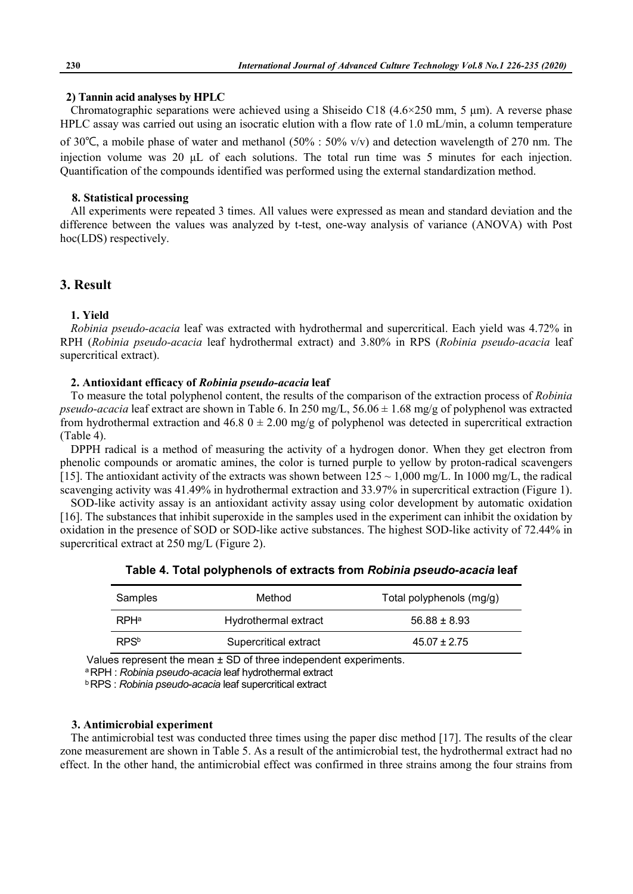#### **2) Tannin acid analyses by HPLC**

Chromatographic separations were achieved using a Shiseido C18  $(4.6\times250 \text{ mm}, 5 \text{ mm})$ . A reverse phase HPLC assay was carried out using an isocratic elution with a flow rate of 1.0 mL/min, a column temperature of 30℃, a mobile phase of water and methanol (50% : 50% v/v) and detection wavelength of 270 nm. The injection volume was 20 μL of each solutions. The total run time was 5 minutes for each injection. Quantification of the compounds identified was performed using the external standardization method.

#### **8. Statistical processing**

All experiments were repeated 3 times. All values were expressed as mean and standard deviation and the difference between the values was analyzed by t-test, one-way analysis of variance (ANOVA) with Post hoc(LDS) respectively.

# **3. Result**

#### **1. Yield**

*Robinia pseudo-acacia* leaf was extracted with hydrothermal and supercritical. Each yield was 4.72% in RPH (*Robinia pseudo-acacia* leaf hydrothermal extract) and 3.80% in RPS (*Robinia pseudo-acacia* leaf supercritical extract).

#### **2. Antioxidant efficacy of** *Robinia pseudo-acacia* **leaf**

To measure the total polyphenol content, the results of the comparison of the extraction process of *Robinia pseudo-acacia* leaf extract are shown in Table 6. In 250 mg/L, 56.06 ± 1.68 mg/g of polyphenol was extracted from hydrothermal extraction and  $46.8$   $0 \pm 2.00$  mg/g of polyphenol was detected in supercritical extraction (Table 4).

DPPH radical is a method of measuring the activity of a hydrogen donor. When they get electron from phenolic compounds or aromatic amines, the color is turned purple to yellow by proton-radical scavengers [15]. The antioxidant activity of the extracts was shown between  $125 \sim 1,000$  mg/L. In 1000 mg/L, the radical scavenging activity was 41.49% in hydrothermal extraction and 33.97% in supercritical extraction (Figure 1).

SOD-like activity assay is an antioxidant activity assay using color development by automatic oxidation [16]. The substances that inhibit superoxide in the samples used in the experiment can inhibit the oxidation by oxidation in the presence of SOD or SOD-like active substances. The highest SOD-like activity of 72.44% in supercritical extract at 250 mg/L (Figure 2).

| Samples                 | Method                | Total polyphenols (mg/g) |
|-------------------------|-----------------------|--------------------------|
| <b>RPH</b> <sup>a</sup> | Hydrothermal extract  | $56.88 \pm 8.93$         |
| RPS <sup>b</sup>        | Supercritical extract | $45.07 \pm 2.75$         |

| Table 4. Total polyphenols of extracts from <i>Robinia pseudo-acacia</i> leaf |
|-------------------------------------------------------------------------------|
|-------------------------------------------------------------------------------|

Values represent the mean ± SD of three independent experiments.

<sup>a</sup>RPH : *Robinia pseudo-acacia* leaf hydrothermal extract

<sup>b</sup>RPS : *Robinia pseudo-acacia* leaf supercritical extract

#### **3. Antimicrobial experiment**

The antimicrobial test was conducted three times using the paper disc method [17]. The results of the clear zone measurement are shown in Table 5. As a result of the antimicrobial test, the hydrothermal extract had no effect. In the other hand, the antimicrobial effect was confirmed in three strains among the four strains from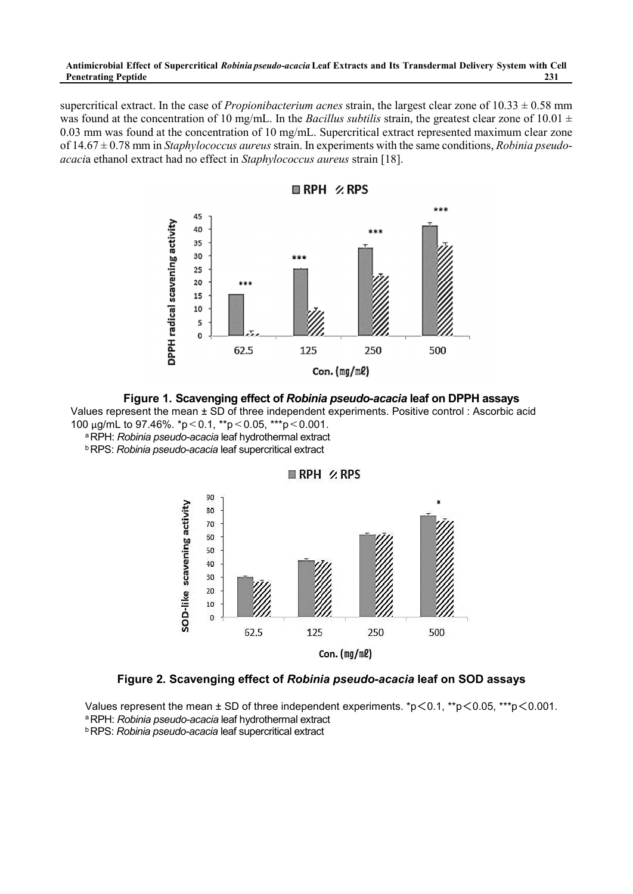supercritical extract. In the case of *Propionibacterium acnes* strain, the largest clear zone of  $10.33 \pm 0.58$  mm was found at the concentration of 10 mg/mL. In the *Bacillus subtilis* strain, the greatest clear zone of 10.01 ± 0.03 mm was found at the concentration of 10 mg/mL. Supercritical extract represented maximum clear zone of 14.67 ± 0.78 mm in *Staphylococcus aureus* strain. In experiments with the same conditions, *Robinia pseudo acaci*a ethanol extract had no effect in *Staphylococcus aureus* strain [18].



**Figure 1. Scavenging effect of** *Robinia pseudo-acacia* **leaf on DPPH assays**

Values represent the mean ± SD of three independent experiments. Positive control : Ascorbic acid 100 μg/mL to 97.46%. \*p<0.1, \*\*p<0.05, \*\*\*p<0.001.

<sup>a</sup>RPH: *Robinia pseudo-acacia* leaf hydrothermal extract <sup>b</sup>RPS: *Robinia pseudo-acacia* leaf supercritical extract



RPH %RPS

**Figure 2. Scavenging effect of** *Robinia pseudo-acacia* **leaf on SOD assays**

Values represent the mean  $\pm$  SD of three independent experiments. \*p $\leq$ 0.1, \*\*p $\leq$ 0.05, \*\*\*p $\leq$ 0.001. <sup>a</sup>RPH: *Robinia pseudo-acacia* leaf hydrothermal extract

<sup>b</sup>RPS: *Robinia pseudo-acacia* leaf supercritical extract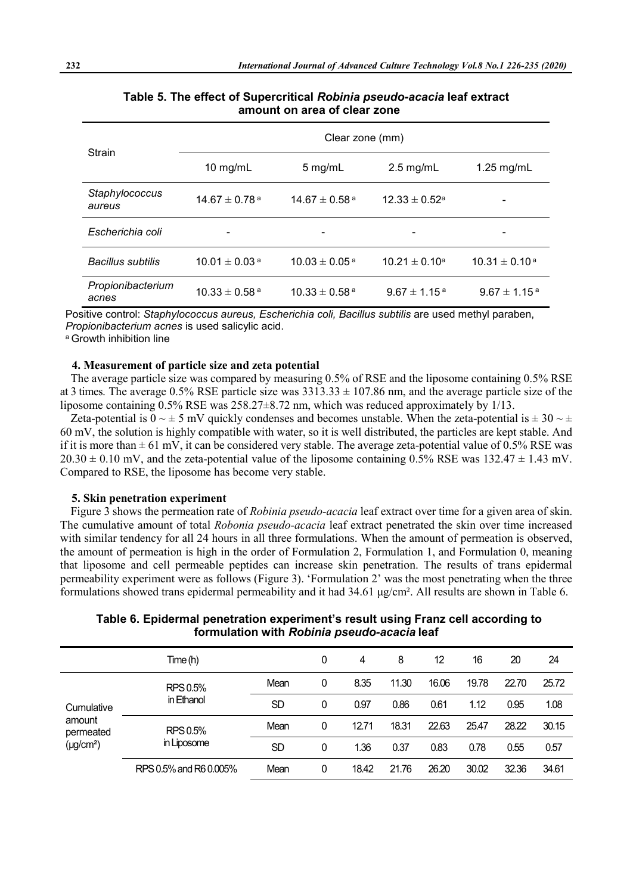| Strain                     | Clear zone (mm)               |                               |                              |                             |  |  |  |  |
|----------------------------|-------------------------------|-------------------------------|------------------------------|-----------------------------|--|--|--|--|
| 10 mg/mL<br>5 mg/mL        |                               | $2.5$ mg/mL                   | $1.25$ mg/mL                 |                             |  |  |  |  |
| Staphylococcus<br>aureus   | $14.67 \pm 0.78$ <sup>a</sup> | $14.67 \pm 0.58$ <sup>a</sup> | $12.33 \pm 0.52^a$           | -                           |  |  |  |  |
| Escherichia coli           | ٠                             | ۰                             | ۰                            |                             |  |  |  |  |
| <b>Bacillus subtilis</b>   | $10.01 \pm 0.03$ <sup>a</sup> | $10.03 \pm 0.05$ <sup>a</sup> | $10.21 \pm 0.10^a$           | $10.31 \pm 0.10^{\text{a}}$ |  |  |  |  |
| Propionibacterium<br>acnes | $10.33 \pm 0.58$ <sup>a</sup> | $10.33 \pm 0.58$ <sup>a</sup> | $9.67 \pm 1.15$ <sup>a</sup> | $9.67 \pm 1.15^{\text{ a}}$ |  |  |  |  |

# **Table 5. The effect of Supercritical** *Robinia pseudo-acacia* **leaf extract amount on area of clear zone**

Positive control: *Staphylococcus aureus, Escherichia coli, Bacillus subtilis* are used methyl paraben, *Propionibacterium acnes* is used salicylic acid.

<sup>a</sup> Growth inhibition line

#### **4. Measurement of particle size and zeta potential**

The average particle size was compared by measuring 0.5% of RSE and the liposome containing 0.5% RSE at 3 times. The average 0.5% RSE particle size was  $3313.33 \pm 107.86$  nm, and the average particle size of the liposome containing 0.5% RSE was 258.27±8.72 nm, which was reduced approximately by 1/13.

Zeta-potential is  $0 \sim \pm 5$  mV quickly condenses and becomes unstable. When the zeta-potential is  $\pm 30 \sim \pm 10$ 60 mV, the solution is highly compatible with water, so it is well distributed, the particles are kept stable. And if it is more than  $\pm$  61 mV, it can be considered very stable. The average zeta-potential value of 0.5% RSE was  $20.30 \pm 0.10$  mV, and the zeta-potential value of the liposome containing 0.5% RSE was 132.47  $\pm$  1.43 mV. Compared to RSE, the liposome has become very stable.

#### **5. Skin penetration experiment**

Figure 3 shows the permeation rate of *Robinia pseudo-acacia* leaf extract over time for a given area of skin. The cumulative amount of total *Robonia pseudo-acacia* leaf extract penetrated the skin over time increased with similar tendency for all 24 hours in all three formulations. When the amount of permeation is observed, the amount of permeation is high in the order of Formulation 2, Formulation 1, and Formulation 0, meaning that liposome and cell permeable peptides can increase skin penetration. The results of trans epidermal permeability experiment were as follows (Figure 3). 'Formulation 2' was the most penetrating when the three formulations showed trans epidermal permeability and it had 34.61 μg/cm². All results are shown in Table 6.

**Table 6. Epidermal penetration experiment's result using Franz cell according to formulation with** *Robinia pseudo-acacia* **leaf**

|                                                                  | Time (h)               |           | 0    | 4     | 8     | 12    | 16    | 20    | 24    |
|------------------------------------------------------------------|------------------------|-----------|------|-------|-------|-------|-------|-------|-------|
| RPS 0.5%                                                         | Mean                   | 0         | 8.35 | 11.30 | 16.06 | 19.78 | 22.70 | 25.72 |       |
| Cumulative                                                       | in Ethanol             | <b>SD</b> | 0    | 0.97  | 0.86  | 0.61  | 1.12  | 0.95  | 1.08  |
| amount<br>RPS 0.5%<br>permeated<br>in Liposome<br>$(\mu g/cm^2)$ |                        | Mean      | 0    | 12.71 | 18.31 | 22.63 | 25.47 | 28.22 | 30.15 |
|                                                                  | <b>SD</b>              | 0         | 1.36 | 0.37  | 0.83  | 0.78  | 0.55  | 0.57  |       |
|                                                                  | RPS 0.5% and R6 0.005% | Mean      | 0    | 18.42 | 21.76 | 26.20 | 30.02 | 32.36 | 34.61 |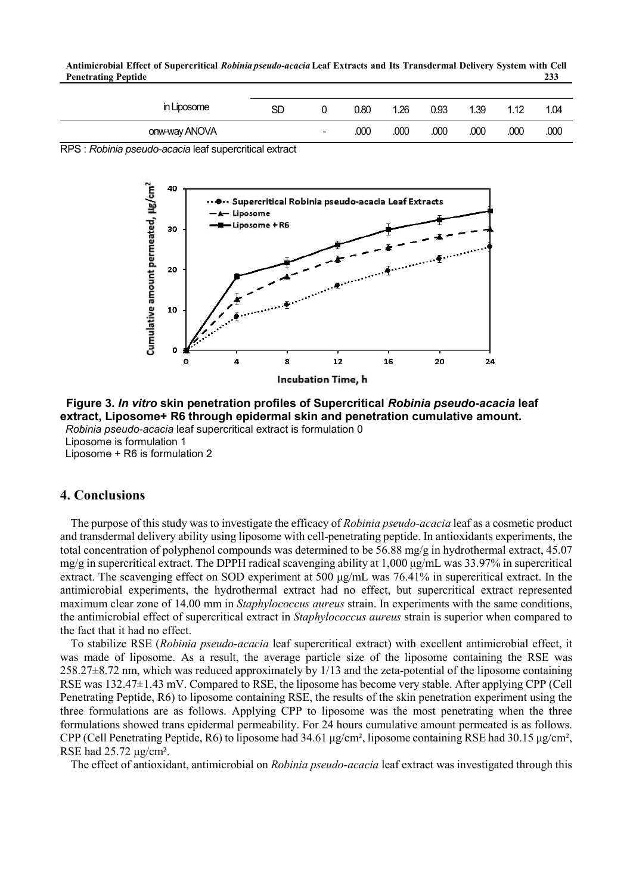**Antimicrobial Effect of Supercritical** *Robinia pseudo-acacia* **Leaf Extracts and Its Transdermal Delivery System with Cell Penetrating Peptide 233**

| in Liposome   | SD | ັ      | 0.80 | 1.26 | 0.93 | 1.39 | 1 1 2 | 1.04 |
|---------------|----|--------|------|------|------|------|-------|------|
| onw-way ANOVA |    | $\sim$ | .000 | .000 | .000 | .000 | .000  | .000 |

RPS : *Robinia pseudo-acacia* leaf supercritical extract



**Figure 3.** *In vitro* **skin penetration profiles of Supercritical** *Robinia pseudo-acacia* **leaf extract, Liposome+ R6 through epidermal skin and penetration cumulative amount.** *Robinia pseudo-acacia* leaf supercritical extract is formulation 0

Liposome is formulation 1 Liposome + R6 is formulation 2

#### **4. Conclusions**

The purpose of this study was to investigate the efficacy of *Robinia pseudo-acacia* leaf as a cosmetic product and transdermal delivery ability using liposome with cell-penetrating peptide. In antioxidants experiments, the total concentration of polyphenol compounds was determined to be 56.88 mg/g in hydrothermal extract, 45.07 mg/g in supercritical extract. The DPPH radical scavenging ability at 1,000 μg/mL was 33.97% in supercritical extract. The scavenging effect on SOD experiment at 500 μg/mL was 76.41% in supercritical extract. In the antimicrobial experiments, the hydrothermal extract had no effect, but supercritical extract represented maximum clear zone of 14.00 mm in *Staphylococcus aureus* strain. In experiments with the same conditions, the antimicrobial effect of supercritical extract in *Staphylococcus aureus* strain is superior when compared to the fact that it had no effect.

To stabilize RSE (*Robinia pseudo-acacia* leaf supercritical extract) with excellent antimicrobial effect, it was made of liposome. As a result, the average particle size of the liposome containing the RSE was 258.27±8.72 nm, which was reduced approximately by 1/13 and the zeta-potential of the liposome containing RSE was 132.47±1.43 mV. Compared to RSE, the liposome has become very stable. After applying CPP (Cell Penetrating Peptide, R6) to liposome containing RSE, the results of the skin penetration experiment using the three formulations are as follows. Applying CPP to liposome was the most penetrating when the three formulations showed trans epidermal permeability. For 24 hours cumulative amount permeated is as follows. CPP (Cell Penetrating Peptide, R6) to liposome had  $34.61 \mu\text{g/cm}^2$ , liposome containing RSE had  $30.15 \mu\text{g/cm}^2$ , RSE had  $25.72 \mu\text{g/cm}^2$ .<br>The effect of antioxidant, antimicrobial on *Robinia pseudo-acacia* leaf extr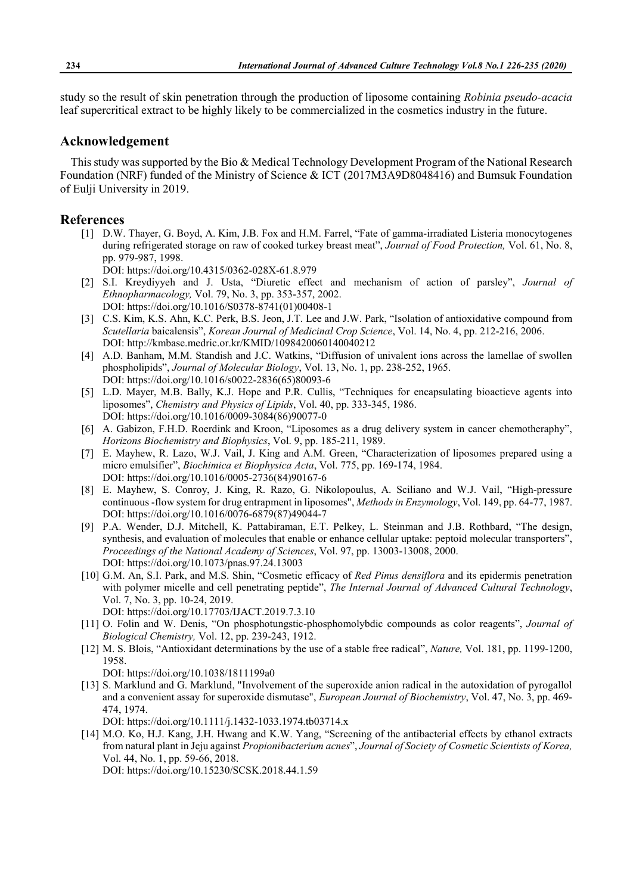study so the result of skin penetration through the production of liposome containing *Robinia pseudo-acacia* leaf supercritical extract to be highly likely to be commercialized in the cosmetics industry in the future.

#### **Acknowledgement**

This study was supported by the Bio & Medical Technology Development Program of the National Research Foundation (NRF) funded of the Ministry of Science & ICT (2017M3A9D8048416) and Bumsuk Foundation of Eulji University in 2019.

#### **References**

- [1] D.W. Thayer, G. Boyd, A. Kim, J.B. Fox and H.M. Farrel, "Fate of gamma-irradiated Listeria monocytogenes during refrigerated storage on raw of cooked turkey breast meat", *Journal of Food Protection,* Vol. 61, No. 8, pp. 979-987, 1998.
	- DOI: https://doi.org/10.4315/0362-028X-61.8.979
- [2] S.I. Kreydiyyeh and J. Usta, "Diuretic effect and mechanism of action of parsley", *Journal of Ethnopharmacology,* Vol. 79, No. 3, pp. 353-357, 2002. DOI: https://doi.org/10.1016/S0378-8741(01)00408-1
- [3] C.S. Kim, K.S. Ahn, K.C. Perk, B.S. Jeon, J.T. Lee and J.W. Park, "Isolation of antioxidative compound from *Scutellaria* baicalensis", *Korean Journal of Medicinal Crop Science*, Vol. 14, No. 4, pp. 212-216, 2006. DOI: http://kmbase.medric.or.kr/KMID/1098420060140040212
- [4] A.D. Banham, M.M. Standish and J.C. Watkins, "Diffusion of univalent ions across the lamellae of swollen phospholipids", *Journal of Molecular Biology*, Vol. 13, No. 1, pp. 238-252, 1965. DOI: https://doi.org/10.1016/s0022-2836(65)80093-6
- [5] L.D. Mayer, M.B. Bally, K.J. Hope and P.R. Cullis, "Techniques for encapsulating bioacticve agents into liposomes", *Chemistry and Physics of Lipids*, Vol. 40, pp. 333-345, 1986. DOI: https://doi.org/10.1016/0009-3084(86)90077-0
- [6] A. Gabizon, F.H.D. Roerdink and Kroon, "Liposomes as a drug delivery system in cancer chemotheraphy", *Horizons Biochemistry and Biophysics*, Vol. 9, pp. 185-211, 1989.<br>[7] E. Mayhew, R. Lazo, W.J. Vail, J. King and A.M. Green, "Characterization of liposomes prepared using a
- micro emulsifier", *Biochimica et Biophysica Acta*, Vol. 775, pp. 169-174, 1984. DOI: https://doi.org/10.1016/0005-2736(84)90167-6
- [8] E. Mayhew, S. Conroy, J. King, R. Razo, G. Nikolopoulus, A. Sciliano and W.J. Vail, "High-pressure continuous -flow system for drug entrapment in liposomes", *Methods in Enzymology*, Vol. 149, pp. 64-77, 1987. DOI: https://doi.org/10.1016/0076-6879(87)49044-7
- [9] P.A. Wender, D.J. Mitchell, K. Pattabiraman, E.T. Pelkey, L. Steinman and J.B. Rothbard, "The design, synthesis, and evaluation of molecules that enable or enhance cellular uptake: peptoid molecular transporters", *Proceedings of the National Academy of Sciences*, Vol. 97, pp. 13003-13008, 2000. DOI: https://doi.org/10.1073/pnas.97.24.13003
- [10] G.M. An, S.I. Park, and M.S. Shin, "Cosmetic efficacy of *Red Pinus densiflora* and its epidermis penetration with polymer micelle and cell penetrating peptide", *The Internal Journal of Advanced Cultural Technology*, Vol. 7, No. 3, pp. 10-24, 2019. DOI: https://doi.org/10.17703/IJACT.2019.7.3.10
- [11] O. Folin and W. Denis, "On phosphotungstic-phosphomolybdic compounds as color reagents", *Journal of Biological Chemistry,* Vol. 12, pp. 239-243, 1912.
- [12] M. S. Blois, "Antioxidant determinations by the use of a stable free radical", *Nature,* Vol. 181, pp. 1199-1200, 1958.
	- DOI: https://doi.org/10.1038/1811199a0
- [13] S. Marklund and G. Marklund, "Involvement of the superoxide anion radical in the autoxidation of pyrogallol and a convenient assay for superoxide dismutase", *European Journal of Biochemistry*, Vol. 47, No. 3, pp. 469- 474, 1974.
	- DOI: https://doi.org/10.1111/j.1432-1033.1974.tb03714.x
- [14] M.O. Ko, H.J. Kang, J.H. Hwang and K.W. Yang, "Screening of the antibacterial effects by ethanol extracts from natural plant in Jeju against *Propionibacterium acnes*", *Journal of Society of Cosmetic Scientists of Korea,* Vol. 44, No. 1, pp. 59-66, 2018.

DOI: https://doi.org/10.15230/SCSK.2018.44.1.59